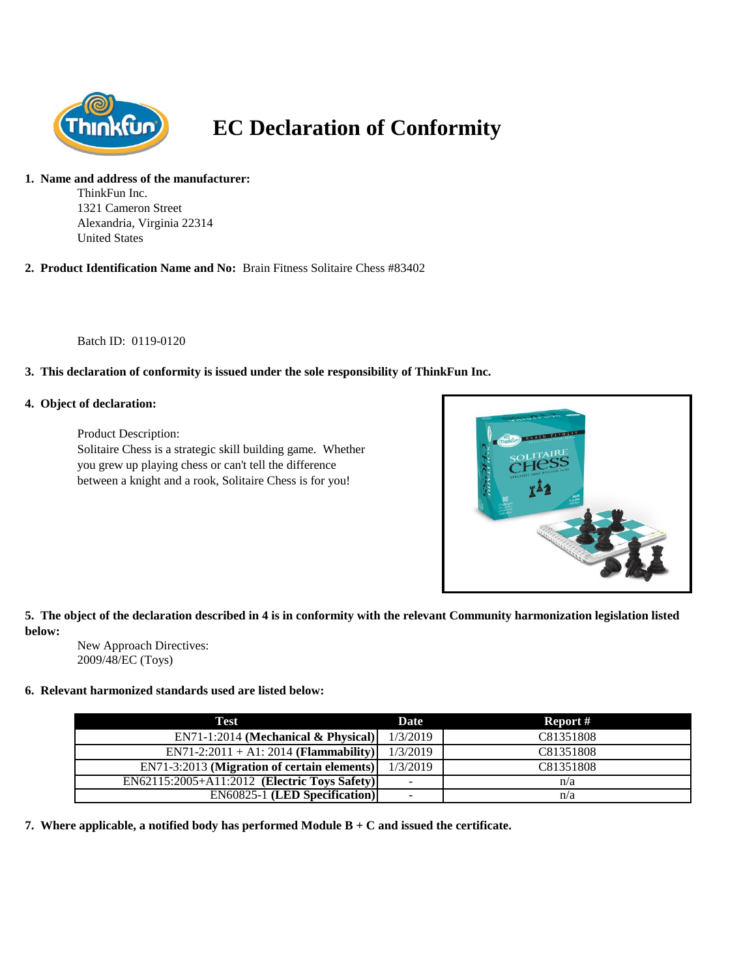

# **EC Declaration of Conformity**

#### **1. Name and address of the manufacturer:**

ThinkFun Inc. 1321 Cameron Street Alexandria, Virginia 22314 United States

**2. Product Identification Name and No:** Brain Fitness Solitaire Chess #83402

Batch ID: 0119-0120

## **3. This declaration of conformity is issued under the sole responsibility of ThinkFun Inc.**

#### **4. Object of declaration:**

Product Description: Solitaire Chess is a strategic skill building game. Whether you grew up playing chess or can't tell the difference between a knight and a rook, Solitaire Chess is for you!



**5. The object of the declaration described in 4 is in conformity with the relevant Community harmonization legislation listed below:**

New Approach Directives: 2009/48/EC (Toys)

#### **6. Relevant harmonized standards used are listed below:**

| Test                                         | <b>Date</b>                  | Report #  |
|----------------------------------------------|------------------------------|-----------|
| $EN71-1:2014$ (Mechanical & Physical)        | 1/3/2019                     | C81351808 |
| $EN71-2:2011 + A1:2014$ (Flammability)       | 1/3/2019                     | C81351808 |
| EN71-3:2013 (Migration of certain elements)  | 1/3/2019                     | C81351808 |
| EN62115:2005+A11:2012 (Electric Toys Safety) | $\overline{\phantom{a}}$     | n/a       |
| <b>EN60825-1 (LED Specification)</b>         | $\qquad \qquad \blacksquare$ | n/a       |

**7. Where applicable, a notified body has performed Module B + C and issued the certificate.**